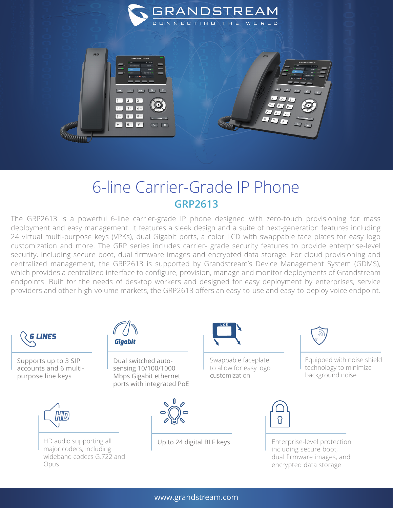

## 6-line Carrier-Grade IP Phone **GRP2613**

The GRP2613 is a powerful 6-line carrier-grade IP phone designed with zero-touch provisioning for mass deployment and easy management. It features a sleek design and a suite of next-generation features including 24 virtual multi-purpose keys (VPKs), dual Gigabit ports, a color LCD with swappable face plates for easy logo customization and more. The GRP series includes carrier- grade security features to provide enterprise-level security, including secure boot, dual firmware images and encrypted data storage. For cloud provisioning and centralized management, the GRP2613 is supported by Grandstream's Device Management System (GDMS), which provides a centralized interface to configure, provision, manage and monitor deployments of Grandstream endpoints. Built for the needs of desktop workers and designed for easy deployment by enterprises, service providers and other high-volume markets, the GRP2613 offers an easy-to-use and easy-to-deploy voice endpoint.



Supports up to 3 SIP accounts and 6 multipurpose line keys



HD audio supporting all major codecs, including wideband codecs G.722 and Opus



 $5 - 6 -$ 

 $*$  0.  $+$ 

Dual switched autosensing 10/100/1000 Mbps Gigabit ethernet ports with integrated PoE





Swappable faceplate to allow for easy logo customization



Up to 24 digital BLF keys Enterprise-level protection including secure boot, dual firmware images, and encrypted data storage

Equipped with noise shield technology to minimize background noise